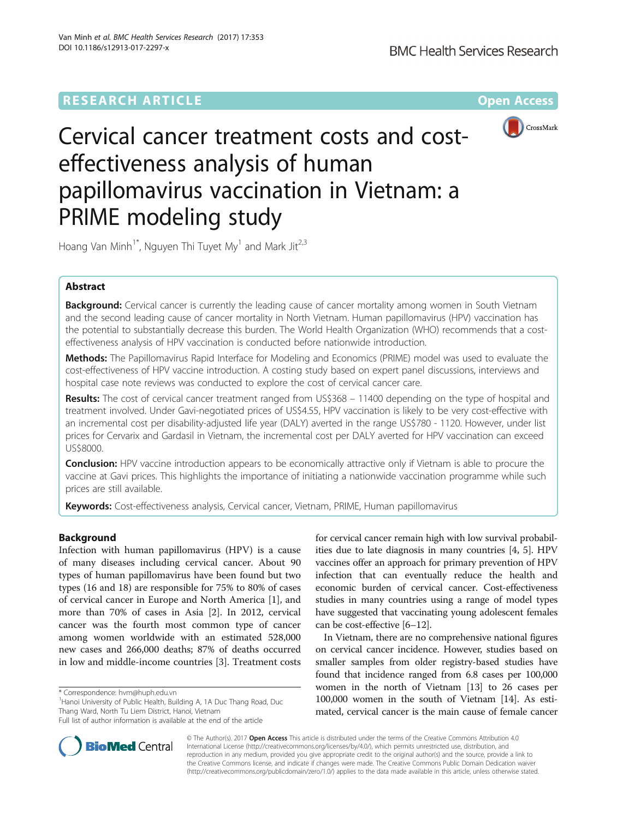# **RESEARCH ARTICLE External Structure Community Community Community Community Community Community Community Community**



# Cervical cancer treatment costs and costeffectiveness analysis of human papillomavirus vaccination in Vietnam: a PRIME modeling study

Hoang Van Minh<sup>1\*</sup>, Nguyen Thi Tuyet My<sup>1</sup> and Mark Jit<sup>2,3</sup>

# Abstract

Background: Cervical cancer is currently the leading cause of cancer mortality among women in South Vietnam and the second leading cause of cancer mortality in North Vietnam. Human papillomavirus (HPV) vaccination has the potential to substantially decrease this burden. The World Health Organization (WHO) recommends that a costeffectiveness analysis of HPV vaccination is conducted before nationwide introduction.

Methods: The Papillomavirus Rapid Interface for Modeling and Economics (PRIME) model was used to evaluate the cost-effectiveness of HPV vaccine introduction. A costing study based on expert panel discussions, interviews and hospital case note reviews was conducted to explore the cost of cervical cancer care.

Results: The cost of cervical cancer treatment ranged from US\$368 - 11400 depending on the type of hospital and treatment involved. Under Gavi-negotiated prices of US\$4.55, HPV vaccination is likely to be very cost-effective with an incremental cost per disability-adjusted life year (DALY) averted in the range US\$780 - 1120. However, under list prices for Cervarix and Gardasil in Vietnam, the incremental cost per DALY averted for HPV vaccination can exceed US\$8000.

**Conclusion:** HPV vaccine introduction appears to be economically attractive only if Vietnam is able to procure the vaccine at Gavi prices. This highlights the importance of initiating a nationwide vaccination programme while such prices are still available.

Keywords: Cost-effectiveness analysis, Cervical cancer, Vietnam, PRIME, Human papillomavirus

## Background

Infection with human papillomavirus (HPV) is a cause of many diseases including cervical cancer. About 90 types of human papillomavirus have been found but two types (16 and 18) are responsible for 75% to 80% of cases of cervical cancer in Europe and North America [\[1](#page-5-0)], and more than 70% of cases in Asia [\[2](#page-5-0)]. In 2012, cervical cancer was the fourth most common type of cancer among women worldwide with an estimated 528,000 new cases and 266,000 deaths; 87% of deaths occurred in low and middle-income countries [\[3](#page-5-0)]. Treatment costs

<sup>1</sup> Hanoi University of Public Health, Building A, 1A Duc Thang Road, Duc Thang Ward, North Tu Liem District, Hanoi, Vietnam

for cervical cancer remain high with low survival probabilities due to late diagnosis in many countries [\[4](#page-5-0), [5\]](#page-5-0). HPV vaccines offer an approach for primary prevention of HPV infection that can eventually reduce the health and economic burden of cervical cancer. Cost-effectiveness studies in many countries using a range of model types have suggested that vaccinating young adolescent females can be cost-effective [\[6](#page-5-0)–[12\]](#page-5-0).

In Vietnam, there are no comprehensive national figures on cervical cancer incidence. However, studies based on smaller samples from older registry-based studies have found that incidence ranged from 6.8 cases per 100,000 women in the north of Vietnam [[13](#page-5-0)] to 26 cases per 100,000 women in the south of Vietnam [\[14](#page-5-0)]. As estimated, cervical cancer is the main cause of female cancer



© The Author(s). 2017 **Open Access** This article is distributed under the terms of the Creative Commons Attribution 4.0 International License [\(http://creativecommons.org/licenses/by/4.0/](http://creativecommons.org/licenses/by/4.0/)), which permits unrestricted use, distribution, and reproduction in any medium, provided you give appropriate credit to the original author(s) and the source, provide a link to the Creative Commons license, and indicate if changes were made. The Creative Commons Public Domain Dedication waiver [\(http://creativecommons.org/publicdomain/zero/1.0/](http://creativecommons.org/publicdomain/zero/1.0/)) applies to the data made available in this article, unless otherwise stated.

<sup>\*</sup> Correspondence: [hvm@huph.edu.vn](mailto:hvm@huph.edu.vn) <sup>1</sup>

Full list of author information is available at the end of the article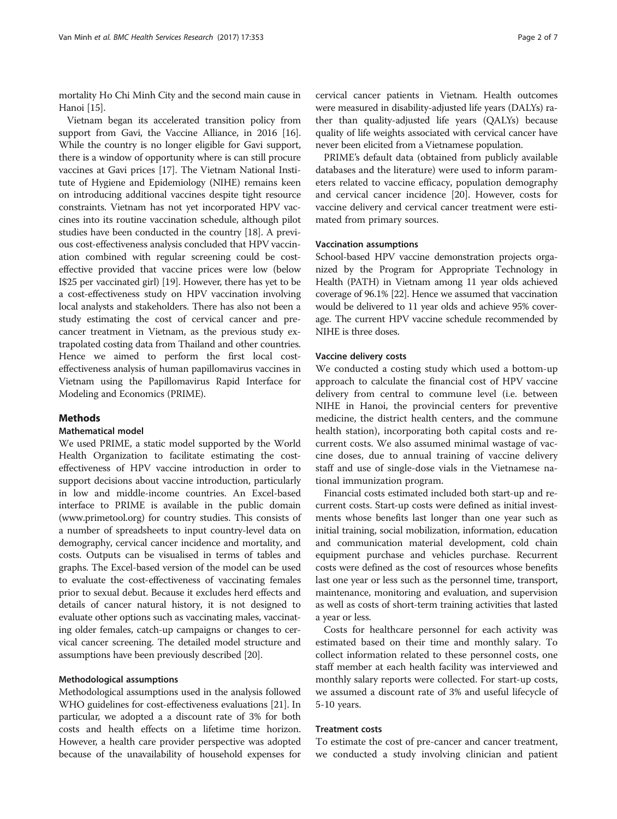mortality Ho Chi Minh City and the second main cause in Hanoi [\[15\]](#page-5-0).

Vietnam began its accelerated transition policy from support from Gavi, the Vaccine Alliance, in 20[16](#page-5-0) [16]. While the country is no longer eligible for Gavi support, there is a window of opportunity where is can still procure vaccines at Gavi prices [\[17\]](#page-5-0). The Vietnam National Institute of Hygiene and Epidemiology (NIHE) remains keen on introducing additional vaccines despite tight resource constraints. Vietnam has not yet incorporated HPV vaccines into its routine vaccination schedule, although pilot studies have been conducted in the country [\[18\]](#page-5-0). A previous cost-effectiveness analysis concluded that HPV vaccination combined with regular screening could be costeffective provided that vaccine prices were low (below I\$25 per vaccinated girl) [\[19](#page-5-0)]. However, there has yet to be a cost-effectiveness study on HPV vaccination involving local analysts and stakeholders. There has also not been a study estimating the cost of cervical cancer and precancer treatment in Vietnam, as the previous study extrapolated costing data from Thailand and other countries. Hence we aimed to perform the first local costeffectiveness analysis of human papillomavirus vaccines in Vietnam using the Papillomavirus Rapid Interface for Modeling and Economics (PRIME).

## **Methods**

## Mathematical model

We used PRIME, a static model supported by the World Health Organization to facilitate estimating the costeffectiveness of HPV vaccine introduction in order to support decisions about vaccine introduction, particularly in low and middle-income countries. An Excel-based interface to PRIME is available in the public domain ([www.primetool.org\)](http://www.primetool.org/) for country studies. This consists of a number of spreadsheets to input country-level data on demography, cervical cancer incidence and mortality, and costs. Outputs can be visualised in terms of tables and graphs. The Excel-based version of the model can be used to evaluate the cost-effectiveness of vaccinating females prior to sexual debut. Because it excludes herd effects and details of cancer natural history, it is not designed to evaluate other options such as vaccinating males, vaccinating older females, catch-up campaigns or changes to cervical cancer screening. The detailed model structure and assumptions have been previously described [[20](#page-5-0)].

## Methodological assumptions

Methodological assumptions used in the analysis followed WHO guidelines for cost-effectiveness evaluations [\[21\]](#page-6-0). In particular, we adopted a a discount rate of 3% for both costs and health effects on a lifetime time horizon. However, a health care provider perspective was adopted because of the unavailability of household expenses for

cervical cancer patients in Vietnam. Health outcomes were measured in disability-adjusted life years (DALYs) rather than quality-adjusted life years (QALYs) because quality of life weights associated with cervical cancer have never been elicited from a Vietnamese population.

PRIME's default data (obtained from publicly available databases and the literature) were used to inform parameters related to vaccine efficacy, population demography and cervical cancer incidence [[20\]](#page-5-0). However, costs for vaccine delivery and cervical cancer treatment were estimated from primary sources.

## Vaccination assumptions

School-based HPV vaccine demonstration projects organized by the Program for Appropriate Technology in Health (PATH) in Vietnam among 11 year olds achieved coverage of 96.1% [\[22](#page-6-0)]. Hence we assumed that vaccination would be delivered to 11 year olds and achieve 95% coverage. The current HPV vaccine schedule recommended by NIHE is three doses.

### Vaccine delivery costs

We conducted a costing study which used a bottom-up approach to calculate the financial cost of HPV vaccine delivery from central to commune level (i.e. between NIHE in Hanoi, the provincial centers for preventive medicine, the district health centers, and the commune health station), incorporating both capital costs and recurrent costs. We also assumed minimal wastage of vaccine doses, due to annual training of vaccine delivery staff and use of single-dose vials in the Vietnamese national immunization program.

Financial costs estimated included both start-up and recurrent costs. Start-up costs were defined as initial investments whose benefits last longer than one year such as initial training, social mobilization, information, education and communication material development, cold chain equipment purchase and vehicles purchase. Recurrent costs were defined as the cost of resources whose benefits last one year or less such as the personnel time, transport, maintenance, monitoring and evaluation, and supervision as well as costs of short-term training activities that lasted a year or less.

Costs for healthcare personnel for each activity was estimated based on their time and monthly salary. To collect information related to these personnel costs, one staff member at each health facility was interviewed and monthly salary reports were collected. For start-up costs, we assumed a discount rate of 3% and useful lifecycle of 5-10 years.

## Treatment costs

To estimate the cost of pre-cancer and cancer treatment, we conducted a study involving clinician and patient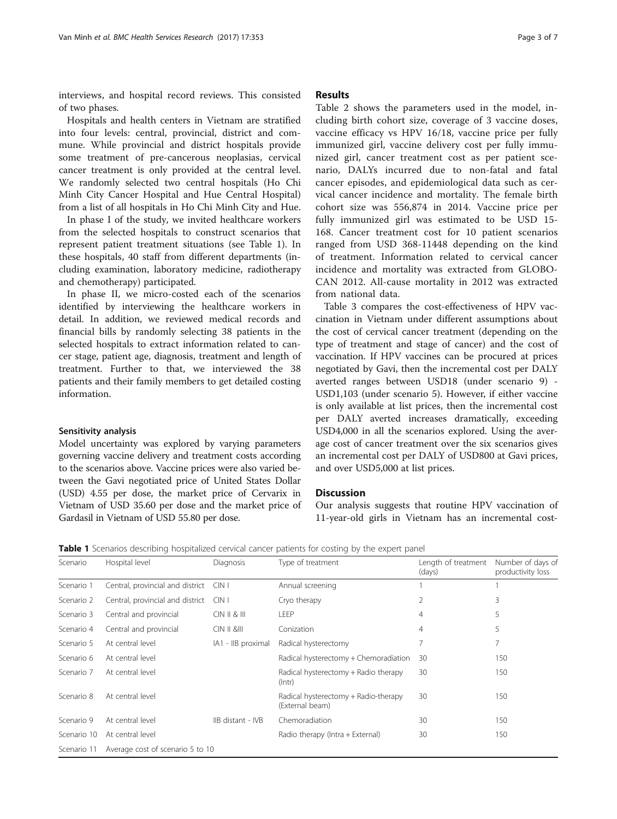interviews, and hospital record reviews. This consisted of two phases.

Hospitals and health centers in Vietnam are stratified into four levels: central, provincial, district and commune. While provincial and district hospitals provide some treatment of pre-cancerous neoplasias, cervical cancer treatment is only provided at the central level. We randomly selected two central hospitals (Ho Chi Minh City Cancer Hospital and Hue Central Hospital) from a list of all hospitals in Ho Chi Minh City and Hue.

In phase I of the study, we invited healthcare workers from the selected hospitals to construct scenarios that represent patient treatment situations (see Table 1). In these hospitals, 40 staff from different departments (including examination, laboratory medicine, radiotherapy and chemotherapy) participated.

In phase II, we micro-costed each of the scenarios identified by interviewing the healthcare workers in detail. In addition, we reviewed medical records and financial bills by randomly selecting 38 patients in the selected hospitals to extract information related to cancer stage, patient age, diagnosis, treatment and length of treatment. Further to that, we interviewed the 38 patients and their family members to get detailed costing information.

## Sensitivity analysis

Model uncertainty was explored by varying parameters governing vaccine delivery and treatment costs according to the scenarios above. Vaccine prices were also varied between the Gavi negotiated price of United States Dollar (USD) 4.55 per dose, the market price of Cervarix in Vietnam of USD 35.60 per dose and the market price of Gardasil in Vietnam of USD 55.80 per dose.

## Results

Table [2](#page-3-0) shows the parameters used in the model, including birth cohort size, coverage of 3 vaccine doses, vaccine efficacy vs HPV 16/18, vaccine price per fully immunized girl, vaccine delivery cost per fully immunized girl, cancer treatment cost as per patient scenario, DALYs incurred due to non-fatal and fatal cancer episodes, and epidemiological data such as cervical cancer incidence and mortality. The female birth cohort size was 556,874 in 2014. Vaccine price per fully immunized girl was estimated to be USD 15- 168. Cancer treatment cost for 10 patient scenarios ranged from USD 368-11448 depending on the kind of treatment. Information related to cervical cancer incidence and mortality was extracted from GLOBO-CAN 2012. All-cause mortality in 2012 was extracted from national data.

Table [3](#page-4-0) compares the cost-effectiveness of HPV vaccination in Vietnam under different assumptions about the cost of cervical cancer treatment (depending on the type of treatment and stage of cancer) and the cost of vaccination. If HPV vaccines can be procured at prices negotiated by Gavi, then the incremental cost per DALY averted ranges between USD18 (under scenario 9) - USD1,103 (under scenario 5). However, if either vaccine is only available at list prices, then the incremental cost per DALY averted increases dramatically, exceeding USD4,000 in all the scenarios explored. Using the average cost of cancer treatment over the six scenarios gives an incremental cost per DALY of USD800 at Gavi prices, and over USD5,000 at list prices.

## **Discussion**

Our analysis suggests that routine HPV vaccination of 11-year-old girls in Vietnam has an incremental cost-

|  |  |  | Table 1 Scenarios describing hospitalized cervical cancer patients for costing by the expert panel |  |  |  |  |  |  |  |  |  |
|--|--|--|----------------------------------------------------------------------------------------------------|--|--|--|--|--|--|--|--|--|
|--|--|--|----------------------------------------------------------------------------------------------------|--|--|--|--|--|--|--|--|--|

| Scenario    | Hospital level                   | Diagnosis                                   | Type of treatment                                       | Length of treatment<br>(days) | Number of days of<br>productivity loss |
|-------------|----------------------------------|---------------------------------------------|---------------------------------------------------------|-------------------------------|----------------------------------------|
| Scenario 1  | Central, provincial and district | CIN                                         | Annual screening                                        |                               |                                        |
| Scenario 2  | Central, provincial and district | $C\vert N \vert$                            | Cryo therapy                                            | $\overline{2}$                | 3                                      |
| Scenario 3  | Central and provincial           | CIN II & W                                  | LEEP                                                    | 4                             | 5                                      |
| Scenario 4  | Central and provincial           | $C\vert N \vert I \vert \& \vert I \vert I$ | Conization                                              | 4                             | 5                                      |
| Scenario 5  | At central level                 | IA1 - IIB proximal                          | Radical hysterectomy                                    | 7                             | 7                                      |
| Scenario 6  | At central level                 |                                             | Radical hysterectomy + Chemoradiation                   | 30                            | 150                                    |
| Scenario 7  | At central level                 |                                             | Radical hysterectomy + Radio therapy<br>$($ Intr $)$    | 30                            | 150                                    |
| Scenario 8  | At central level                 |                                             | Radical hysterectomy + Radio-therapy<br>(External beam) | 30                            | 150                                    |
| Scenario 9  | At central level                 | IIB distant - IVB                           | Chemoradiation                                          | 30                            | 150                                    |
| Scenario 10 | At central level                 |                                             | Radio therapy (Intra + External)                        | 30                            | 150                                    |
| Scenario 11 | Average cost of scenario 5 to 10 |                                             |                                                         |                               |                                        |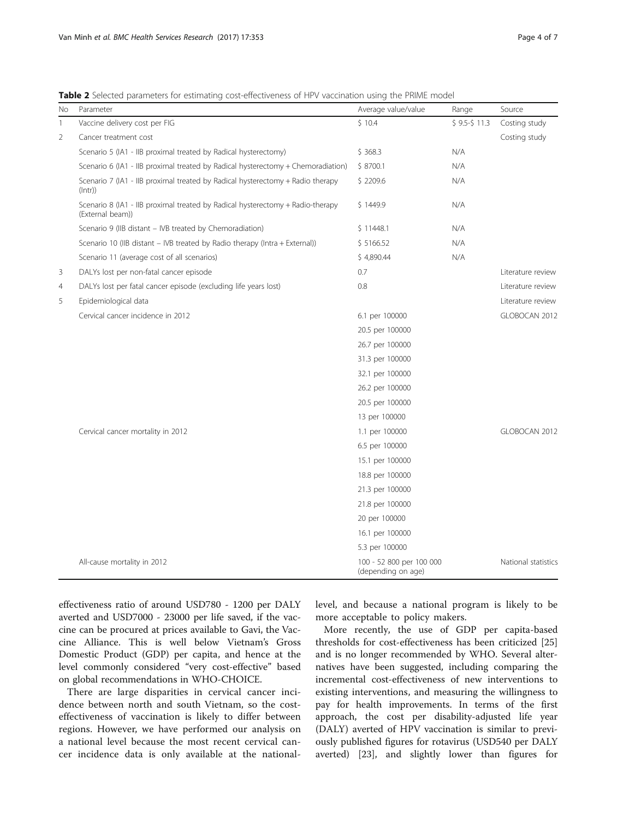<span id="page-3-0"></span>Table 2 Selected parameters for estimating cost-effectiveness of HPV vaccination using the PRIME model

| No | Parameter                                                                                          | Average value/value                            | Range        | Source              |
|----|----------------------------------------------------------------------------------------------------|------------------------------------------------|--------------|---------------------|
| 1  | Vaccine delivery cost per FIG                                                                      | \$10.4                                         | $$9.5-$11.3$ | Costing study       |
| 2  | Cancer treatment cost                                                                              |                                                |              | Costing study       |
|    | Scenario 5 (IA1 - IIB proximal treated by Radical hysterectomy)                                    | \$368.3                                        | N/A          |                     |
|    | Scenario 6 (IA1 - IIB proximal treated by Radical hysterectomy + Chemoradiation)                   | \$8700.1                                       | N/A          |                     |
|    | Scenario 7 (IA1 - IIB proximal treated by Radical hysterectomy + Radio therapy<br>$($ Intr $)$     | \$2209.6                                       | N/A          |                     |
|    | Scenario 8 (IA1 - IIB proximal treated by Radical hysterectomy + Radio-therapy<br>(External beam)) | \$1449.9                                       | N/A          |                     |
|    | Scenario 9 (IIB distant - IVB treated by Chemoradiation)                                           | \$11448.1                                      | N/A          |                     |
|    | Scenario 10 (IIB distant - IVB treated by Radio therapy (Intra + External))                        | \$5166.52                                      | N/A          |                     |
|    | Scenario 11 (average cost of all scenarios)                                                        | \$4,890.44                                     | N/A          |                     |
| 3  | DALYs lost per non-fatal cancer episode                                                            | 0.7                                            |              | Literature review   |
| 4  | DALYs lost per fatal cancer episode (excluding life years lost)                                    | 0.8                                            |              | Literature review   |
| 5  | Epidemiological data                                                                               |                                                |              | Literature review   |
|    | Cervical cancer incidence in 2012                                                                  | 6.1 per 100000                                 |              | GLOBOCAN 2012       |
|    |                                                                                                    | 20.5 per 100000                                |              |                     |
|    |                                                                                                    | 26.7 per 100000                                |              |                     |
|    |                                                                                                    | 31.3 per 100000                                |              |                     |
|    |                                                                                                    | 32.1 per 100000                                |              |                     |
|    |                                                                                                    | 26.2 per 100000                                |              |                     |
|    |                                                                                                    | 20.5 per 100000                                |              |                     |
|    |                                                                                                    | 13 per 100000                                  |              |                     |
|    | Cervical cancer mortality in 2012                                                                  | 1.1 per 100000                                 |              | GLOBOCAN 2012       |
|    |                                                                                                    | 6.5 per 100000                                 |              |                     |
|    |                                                                                                    | 15.1 per 100000                                |              |                     |
|    |                                                                                                    | 18.8 per 100000                                |              |                     |
|    |                                                                                                    | 21.3 per 100000                                |              |                     |
|    |                                                                                                    | 21.8 per 100000                                |              |                     |
|    |                                                                                                    | 20 per 100000                                  |              |                     |
|    |                                                                                                    | 16.1 per 100000                                |              |                     |
|    |                                                                                                    | 5.3 per 100000                                 |              |                     |
|    | All-cause mortality in 2012                                                                        | 100 - 52 800 per 100 000<br>(depending on age) |              | National statistics |

effectiveness ratio of around USD780 - 1200 per DALY averted and USD7000 - 23000 per life saved, if the vaccine can be procured at prices available to Gavi, the Vaccine Alliance. This is well below Vietnam's Gross Domestic Product (GDP) per capita, and hence at the level commonly considered "very cost-effective" based on global recommendations in WHO-CHOICE.

There are large disparities in cervical cancer incidence between north and south Vietnam, so the costeffectiveness of vaccination is likely to differ between regions. However, we have performed our analysis on a national level because the most recent cervical cancer incidence data is only available at the nationallevel, and because a national program is likely to be more acceptable to policy makers.

More recently, the use of GDP per capita-based thresholds for cost-effectiveness has been criticized [[25](#page-6-0)] and is no longer recommended by WHO. Several alternatives have been suggested, including comparing the incremental cost-effectiveness of new interventions to existing interventions, and measuring the willingness to pay for health improvements. In terms of the first approach, the cost per disability-adjusted life year (DALY) averted of HPV vaccination is similar to previously published figures for rotavirus (USD540 per DALY averted) [\[23\]](#page-6-0), and slightly lower than figures for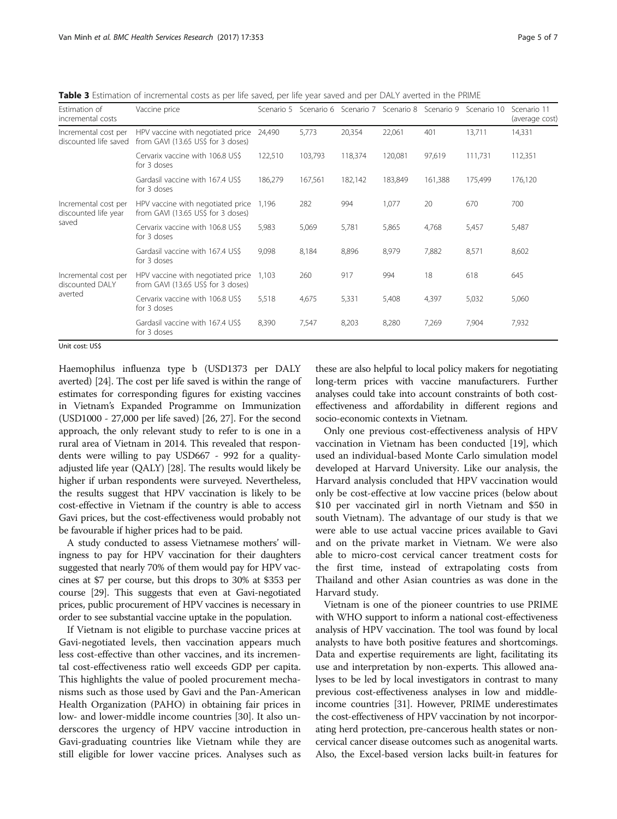<span id="page-4-0"></span>Table 3 Estimation of incremental costs as per life saved, per life year saved and per DALY averted in the PRIME

| <b>Estimation of</b><br>incremental costs     | Vaccine price                                                           | Scenario 5 | Scenario 6 | Scenario 7 | Scenario 8 | Scenario 9 | Scenario 10 | Scenario 11<br>(average cost) |
|-----------------------------------------------|-------------------------------------------------------------------------|------------|------------|------------|------------|------------|-------------|-------------------------------|
| Incremental cost per<br>discounted life saved | HPV vaccine with negotiated price<br>from GAVI (13.65 US\$ for 3 doses) | 24,490     | 5,773      | 20,354     | 22,061     | 401        | 13,711      | 14,331                        |
|                                               | Cervarix vaccine with 106.8 US\$<br>for 3 doses                         | 122,510    | 103,793    | 118,374    | 120,081    | 97,619     | 111,731     | 112,351                       |
|                                               | Gardasil vaccine with 167.4 US\$<br>for 3 doses                         | 186,279    | 167,561    | 182,142    | 183,849    | 161,388    | 175,499     | 176,120                       |
| Incremental cost per<br>discounted life year  | HPV vaccine with negotiated price<br>from GAVI (13.65 US\$ for 3 doses) | 1,196      | 282        | 994        | 1,077      | 20         | 670         | 700                           |
| saved                                         | Cervarix vaccine with 106.8 US\$<br>for 3 doses                         | 5,983      | 5,069      | 5,781      | 5,865      | 4,768      | 5,457       | 5,487                         |
|                                               | Gardasil vaccine with 167.4 US\$<br>for 3 doses                         | 9,098      | 8,184      | 8,896      | 8,979      | 7,882      | 8,571       | 8,602                         |
| Incremental cost per<br>discounted DALY       | HPV vaccine with negotiated price<br>from GAVI (13.65 US\$ for 3 doses) | 1,103      | 260        | 917        | 994        | 18         | 618         | 645                           |
| averted                                       | Cervarix vaccine with 106.8 US\$<br>for 3 doses                         | 5,518      | 4,675      | 5,331      | 5,408      | 4,397      | 5,032       | 5,060                         |
|                                               | Gardasil vaccine with 167.4 US\$<br>for 3 doses                         | 8,390      | 7,547      | 8,203      | 8,280      | 7,269      | 7,904       | 7,932                         |

Unit cost: US\$

Haemophilus influenza type b (USD1373 per DALY averted) [[24](#page-6-0)]. The cost per life saved is within the range of estimates for corresponding figures for existing vaccines in Vietnam's Expanded Programme on Immunization (USD1000 - 27,000 per life saved) [\[26, 27](#page-6-0)]. For the second approach, the only relevant study to refer to is one in a rural area of Vietnam in 2014. This revealed that respondents were willing to pay USD667 - 992 for a qualityadjusted life year (QALY) [[28](#page-6-0)]. The results would likely be higher if urban respondents were surveyed. Nevertheless, the results suggest that HPV vaccination is likely to be cost-effective in Vietnam if the country is able to access Gavi prices, but the cost-effectiveness would probably not be favourable if higher prices had to be paid.

A study conducted to assess Vietnamese mothers' willingness to pay for HPV vaccination for their daughters suggested that nearly 70% of them would pay for HPV vaccines at \$7 per course, but this drops to 30% at \$353 per course [[29](#page-6-0)]. This suggests that even at Gavi-negotiated prices, public procurement of HPV vaccines is necessary in order to see substantial vaccine uptake in the population.

If Vietnam is not eligible to purchase vaccine prices at Gavi-negotiated levels, then vaccination appears much less cost-effective than other vaccines, and its incremental cost-effectiveness ratio well exceeds GDP per capita. This highlights the value of pooled procurement mechanisms such as those used by Gavi and the Pan-American Health Organization (PAHO) in obtaining fair prices in low- and lower-middle income countries [[30\]](#page-6-0). It also underscores the urgency of HPV vaccine introduction in Gavi-graduating countries like Vietnam while they are still eligible for lower vaccine prices. Analyses such as

these are also helpful to local policy makers for negotiating long-term prices with vaccine manufacturers. Further analyses could take into account constraints of both costeffectiveness and affordability in different regions and socio-economic contexts in Vietnam.

Only one previous cost-effectiveness analysis of HPV vaccination in Vietnam has been conducted [\[19](#page-5-0)], which used an individual-based Monte Carlo simulation model developed at Harvard University. Like our analysis, the Harvard analysis concluded that HPV vaccination would only be cost-effective at low vaccine prices (below about \$10 per vaccinated girl in north Vietnam and \$50 in south Vietnam). The advantage of our study is that we were able to use actual vaccine prices available to Gavi and on the private market in Vietnam. We were also able to micro-cost cervical cancer treatment costs for the first time, instead of extrapolating costs from Thailand and other Asian countries as was done in the Harvard study.

Vietnam is one of the pioneer countries to use PRIME with WHO support to inform a national cost-effectiveness analysis of HPV vaccination. The tool was found by local analysts to have both positive features and shortcomings. Data and expertise requirements are light, facilitating its use and interpretation by non-experts. This allowed analyses to be led by local investigators in contrast to many previous cost-effectiveness analyses in low and middleincome countries [\[31](#page-6-0)]. However, PRIME underestimates the cost-effectiveness of HPV vaccination by not incorporating herd protection, pre-cancerous health states or noncervical cancer disease outcomes such as anogenital warts. Also, the Excel-based version lacks built-in features for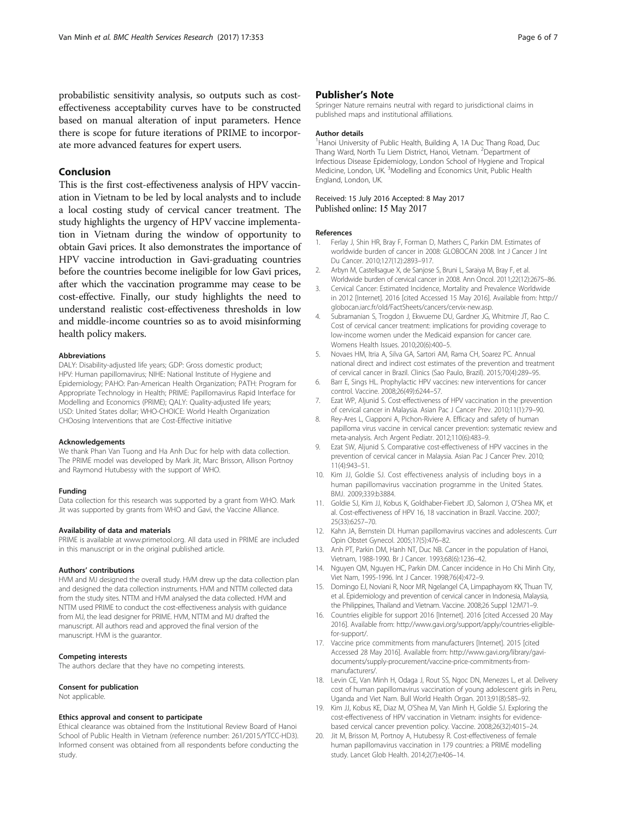<span id="page-5-0"></span>probabilistic sensitivity analysis, so outputs such as costeffectiveness acceptability curves have to be constructed based on manual alteration of input parameters. Hence there is scope for future iterations of PRIME to incorporate more advanced features for expert users.

## Conclusion

This is the first cost-effectiveness analysis of HPV vaccination in Vietnam to be led by local analysts and to include a local costing study of cervical cancer treatment. The study highlights the urgency of HPV vaccine implementation in Vietnam during the window of opportunity to obtain Gavi prices. It also demonstrates the importance of HPV vaccine introduction in Gavi-graduating countries before the countries become ineligible for low Gavi prices, after which the vaccination programme may cease to be cost-effective. Finally, our study highlights the need to understand realistic cost-effectiveness thresholds in low and middle-income countries so as to avoid misinforming health policy makers.

#### Abbreviations

DALY: Disability-adjusted life years; GDP: Gross domestic product; HPV: Human papillomavirus; NIHE: National Institute of Hygiene and Epidemiology; PAHO: Pan-American Health Organization; PATH: Program for Appropriate Technology in Health; PRIME: Papillomavirus Rapid Interface for Modelling and Economics (PRIME); QALY: Quality-adjusted life years; USD: United States dollar; WHO-CHOICE: World Health Organization CHOosing Interventions that are Cost-Effective initiative

#### Acknowledgements

We thank Phan Van Tuong and Ha Anh Duc for help with data collection. The PRIME model was developed by Mark Jit, Marc Brisson, Allison Portnoy and Raymond Hutubessy with the support of WHO.

#### Funding

Data collection for this research was supported by a grant from WHO. Mark Jit was supported by grants from WHO and Gavi, the Vaccine Alliance.

#### Availability of data and materials

PRIME is available at [www.primetool.org.](http://www.primetool.org/) All data used in PRIME are included in this manuscript or in the original published article.

#### Authors' contributions

HVM and MJ designed the overall study. HVM drew up the data collection plan and designed the data collection instruments. HVM and NTTM collected data from the study sites. NTTM and HVM analysed the data collected. HVM and NTTM used PRIME to conduct the cost-effectiveness analysis with guidance from MJ, the lead designer for PRIME. HVM, NTTM and MJ drafted the manuscript. All authors read and approved the final version of the manuscript. HVM is the guarantor.

#### Competing interests

The authors declare that they have no competing interests.

#### Consent for publication

Not applicable.

#### Ethics approval and consent to participate

Ethical clearance was obtained from the Institutional Review Board of Hanoi School of Public Health in Vietnam (reference number: 261/2015/YTCC-HD3). Informed consent was obtained from all respondents before conducting the study

## Publisher's Note

Springer Nature remains neutral with regard to jurisdictional claims in published maps and institutional affiliations.

#### Author details

<sup>1</sup> Hanoi University of Public Health, Building A, 1A Duc Thang Road, Duc Thang Ward, North Tu Liem District, Hanoi, Vietnam. <sup>2</sup>Department of Infectious Disease Epidemiology, London School of Hygiene and Tropical Medicine, London, UK.<sup>3</sup> Modelling and Economics Unit, Public Health England, London, UK.

#### Received: 15 July 2016 Accepted: 8 May 2017 Published online: 15 May 2017

#### References

- 1. Ferlay J, Shin HR, Bray F, Forman D, Mathers C, Parkin DM. Estimates of worldwide burden of cancer in 2008: GLOBOCAN 2008. Int J Cancer J Int Du Cancer. 2010;127(12):2893–917.
- 2. Arbyn M, Castellsague X, de Sanjose S, Bruni L, Saraiya M, Bray F, et al. Worldwide burden of cervical cancer in 2008. Ann Oncol. 2011;22(12):2675–86.
- 3. Cervical Cancer: Estimated Incidence, Mortality and Prevalence Worldwide in 2012 [Internet]. 2016 [cited Accessed 15 May 2016]. Available from: [http://](http://globocan.iarc.fr/old/FactSheets/cancers/cervix-new.asp) [globocan.iarc.fr/old/FactSheets/cancers/cervix-new.asp.](http://globocan.iarc.fr/old/FactSheets/cancers/cervix-new.asp)
- 4. Subramanian S, Trogdon J, Ekwueme DU, Gardner JG, Whitmire JT, Rao C. Cost of cervical cancer treatment: implications for providing coverage to low-income women under the Medicaid expansion for cancer care. Womens Health Issues. 2010;20(6):400–5.
- 5. Novaes HM, Itria A, Silva GA, Sartori AM, Rama CH, Soarez PC. Annual national direct and indirect cost estimates of the prevention and treatment of cervical cancer in Brazil. Clinics (Sao Paulo, Brazil). 2015;70(4):289–95.
- 6. Barr E, Sings HL. Prophylactic HPV vaccines: new interventions for cancer control. Vaccine. 2008;26(49):6244–57.
- 7. Ezat WP, Aljunid S. Cost-effectiveness of HPV vaccination in the prevention of cervical cancer in Malaysia. Asian Pac J Cancer Prev. 2010;11(1):79–90.
- 8. Rey-Ares L, Ciapponi A, Pichon-Riviere A. Efficacy and safety of human papilloma virus vaccine in cervical cancer prevention: systematic review and meta-analysis. Arch Argent Pediatr. 2012;110(6):483–9.
- 9. Ezat SW, Aljunid S. Comparative cost-effectiveness of HPV vaccines in the prevention of cervical cancer in Malaysia. Asian Pac J Cancer Prev. 2010; 11(4):943–51.
- 10. Kim JJ, Goldie SJ. Cost effectiveness analysis of including boys in a human papillomavirus vaccination programme in the United States. BMJ. 2009;339:b3884.
- 11. Goldie SJ, Kim JJ, Kobus K, Goldhaber-Fiebert JD, Salomon J, O'Shea MK, et al. Cost-effectiveness of HPV 16, 18 vaccination in Brazil. Vaccine. 2007; 25(33):6257–70.
- 12. Kahn JA, Bernstein DI. Human papillomavirus vaccines and adolescents. Curr Opin Obstet Gynecol. 2005;17(5):476–82.
- 13. Anh PT, Parkin DM, Hanh NT, Duc NB. Cancer in the population of Hanoi, Vietnam, 1988-1990. Br J Cancer. 1993;68(6):1236–42.
- 14. Nguyen QM, Nguyen HC, Parkin DM. Cancer incidence in Ho Chi Minh City, Viet Nam, 1995-1996. Int J Cancer. 1998;76(4):472–9.
- 15. Domingo EJ, Noviani R, Noor MR, Ngelangel CA, Limpaphayom KK, Thuan TV, et al. Epidemiology and prevention of cervical cancer in Indonesia, Malaysia, the Philippines, Thailand and Vietnam. Vaccine. 2008;26 Suppl 12:M71–9.
- 16. Countries eligible for support 2016 [Internet]. 2016 [cited Accessed 20 May 2016]. Available from: [http://www.gavi.org/support/apply/countries-eligible](http://www.gavi.org/support/apply/countries-eligible-for-support/)[for-support/.](http://www.gavi.org/support/apply/countries-eligible-for-support/)
- 17. Vaccine price commitments from manufacturers [Internet]. 2015 [cited Accessed 28 May 2016]. Available from: [http://www.gavi.org/library/gavi](http://www.gavi.org/library/gavi-documents/supply-procurement/vaccine-price-commitments-from-manufacturers/)[documents/supply-procurement/vaccine-price-commitments-from](http://www.gavi.org/library/gavi-documents/supply-procurement/vaccine-price-commitments-from-manufacturers/)[manufacturers/.](http://www.gavi.org/library/gavi-documents/supply-procurement/vaccine-price-commitments-from-manufacturers/)
- 18. Levin CE, Van Minh H, Odaga J, Rout SS, Ngoc DN, Menezes L, et al. Delivery cost of human papillomavirus vaccination of young adolescent girls in Peru, Uganda and Viet Nam. Bull World Health Organ. 2013;91(8):585–92.
- 19. Kim JJ, Kobus KE, Diaz M, O'Shea M, Van Minh H, Goldie SJ. Exploring the cost-effectiveness of HPV vaccination in Vietnam: insights for evidencebased cervical cancer prevention policy. Vaccine. 2008;26(32):4015–24.
- 20. Jit M, Brisson M, Portnoy A, Hutubessy R. Cost-effectiveness of female human papillomavirus vaccination in 179 countries: a PRIME modelling study. Lancet Glob Health. 2014;2(7):e406–14.